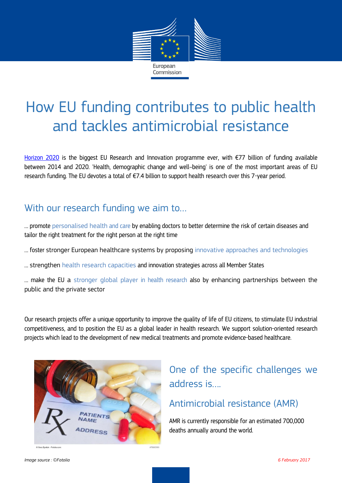

# How EU funding contributes to public health and tackles antimicrobial resistance

[Horizon 2020](https://ec.europa.eu/programmes/horizon2020/en/what-horizon-2020) is the biggest EU Research and Innovation programme ever, with €77 billion of funding available between 2014 and 2020. 'Health, demographic change and well–being' is one of the most important areas of EU research funding. The EU devotes a total of €7.4 billion to support health research over this 7-year period.

## With our research funding we aim to…

… promote personalised health and care by enabling doctors to better determine the risk of certain diseases and tailor the right treatment for the right person at the right time

… foster stronger European healthcare systems by proposing innovative approaches and technologies

… strengthen health research capacities and innovation strategies across all Member States

… make the EU a stronger global player in health research also by enhancing partnerships between the public and the private sector

Our research projects offer a unique opportunity to improve the quality of life of EU citizens, to stimulate EU industrial competitiveness, and to position the EU as a global leader in health research. We support solution-oriented research projects which lead to the development of new medical treatments and promote evidence-based healthcare.



# One of the specific challenges we address is….

### Antimicrobial resistance (AMR)

AMR is currently responsible for an estimated 700,000 deaths annually around the world.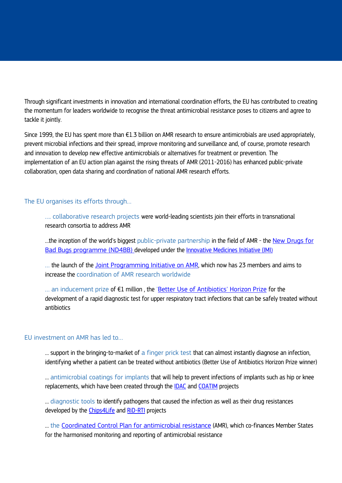Through significant investments in innovation and international coordination efforts, the EU has contributed to creating the momentum for leaders worldwide to recognise the threat antimicrobial resistance poses to citizens and agree to tackle it jointly.

Since 1999, the EU has spent more than €1.3 billion on AMR research to ensure antimicrobials are used appropriately, prevent microbial infections and their spread, improve monitoring and surveillance and, of course, promote research and innovation to develop new effective antimicrobials or alternatives for treatment or prevention. The implementation of an EU action plan against the rising threats of AMR (2011-2016) has enhanced public-private collaboration, open data sharing and coordination of national AMR research efforts.

#### The EU organises its efforts through...

…. collaborative research projects were world-leading scientists join their efforts in transnational research consortia to address AMR

...the inception of the world's biggest public-private partnership in the field of AMR - the New Drugs for [Bad Bugs programme \(ND4BB\)](http://www.imi.europa.eu/content/nd4bb) developed under the [Innovative Medicines Initiative \(IMI](http://www.imi.europa.eu/content/home))

… the launch of the [Joint Programming Initiative](http://www.jpiamr.eu/) on AMR, which now has 23 members and aims to increase the coordination of AMR research worldwide

... an inducement prize of €1 million, the ['Better Use of Antibiotics'](http://ec.europa.eu/research/horizonprize/index.cfm?prize=better-use-antibiotics) Horizon Prize for the development of a rapid diagnostic test for upper respiratory tract infections that can be safely treated without antibiotics

#### EU investment on AMR has led to…

… support in the bringing-to-market of a finger prick test that can almost instantly diagnose an infection, identifying whether a patient can be treated without antibiotics (Better Use of Antibiotics Horizon Prize winner)

... antimicrobial coatings for implants that will help to prevent infections of implants such as hip or knee replacements, which have been created through the [IDAC](http://cordis.europa.eu/project/rcn/101783_en.html) and [COATIM](http://cordis.europa.eu/project/rcn/101794_en.html) projects

… diagnostic tools to identify pathogens that caused the infection as well as their drug resistances developed by the [Chips4Life](http://cordis.europa.eu/result/rcn/188320_en.html) and [RiD-RTI](http://cordis.europa.eu/result/rcn/188007_en.html) projects

… the [Coordinated Control Plan for antimicrobial resistance](http://eur-lex.europa.eu/legal-content/EN/TXT/?uri=CELEX%3A32014D1118%2801%29) (AMR), which co-finances Member States for the harmonised monitoring and reporting of antimicrobial resistance